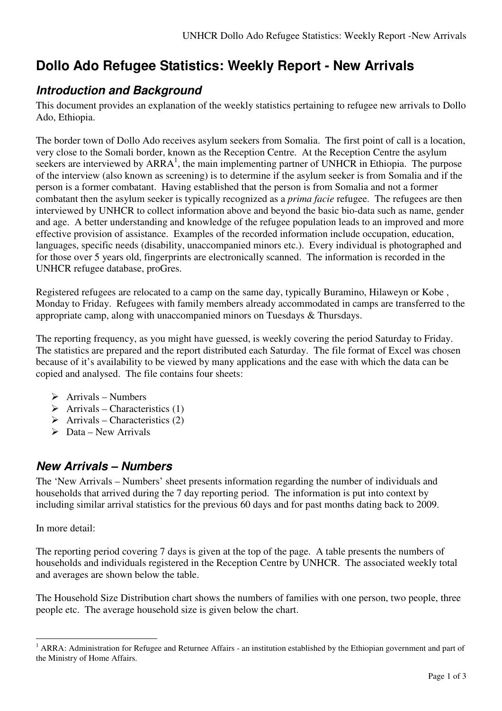# **Dollo Ado Refugee Statistics: Weekly Report - New Arrivals**

### **Introduction and Background**

This document provides an explanation of the weekly statistics pertaining to refugee new arrivals to Dollo Ado, Ethiopia.

The border town of Dollo Ado receives asylum seekers from Somalia. The first point of call is a location, very close to the Somali border, known as the Reception Centre. At the Reception Centre the asylum seekers are interviewed by  $ARRA<sup>1</sup>$ , the main implementing partner of UNHCR in Ethiopia. The purpose of the interview (also known as screening) is to determine if the asylum seeker is from Somalia and if the person is a former combatant. Having established that the person is from Somalia and not a former combatant then the asylum seeker is typically recognized as a *prima facie* refugee. The refugees are then interviewed by UNHCR to collect information above and beyond the basic bio-data such as name, gender and age. A better understanding and knowledge of the refugee population leads to an improved and more effective provision of assistance. Examples of the recorded information include occupation, education, languages, specific needs (disability, unaccompanied minors etc.). Every individual is photographed and for those over 5 years old, fingerprints are electronically scanned. The information is recorded in the UNHCR refugee database, proGres.

Registered refugees are relocated to a camp on the same day, typically Buramino, Hilaweyn or Kobe , Monday to Friday. Refugees with family members already accommodated in camps are transferred to the appropriate camp, along with unaccompanied minors on Tuesdays & Thursdays.

The reporting frequency, as you might have guessed, is weekly covering the period Saturday to Friday. The statistics are prepared and the report distributed each Saturday. The file format of Excel was chosen because of it's availability to be viewed by many applications and the ease with which the data can be copied and analysed. The file contains four sheets:

- $\triangleright$  Arrivals Numbers
- $\triangleright$  Arrivals Characteristics (1)
- $\triangleright$  Arrivals Characteristics (2)
- $\triangleright$  Data New Arrivals

### **New Arrivals – Numbers**

The 'New Arrivals – Numbers' sheet presents information regarding the number of individuals and households that arrived during the 7 day reporting period. The information is put into context by including similar arrival statistics for the previous 60 days and for past months dating back to 2009.

In more detail:

 $\overline{a}$ 

The reporting period covering 7 days is given at the top of the page. A table presents the numbers of households and individuals registered in the Reception Centre by UNHCR. The associated weekly total and averages are shown below the table.

The Household Size Distribution chart shows the numbers of families with one person, two people, three people etc. The average household size is given below the chart.

<sup>&</sup>lt;sup>1</sup> ARRA: Administration for Refugee and Returnee Affairs - an institution established by the Ethiopian government and part of the Ministry of Home Affairs.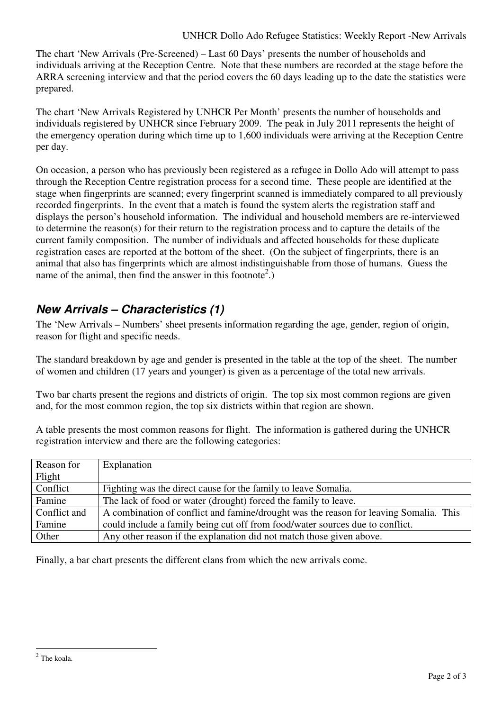The chart 'New Arrivals (Pre-Screened) – Last 60 Days' presents the number of households and individuals arriving at the Reception Centre. Note that these numbers are recorded at the stage before the ARRA screening interview and that the period covers the 60 days leading up to the date the statistics were prepared.

The chart 'New Arrivals Registered by UNHCR Per Month' presents the number of households and individuals registered by UNHCR since February 2009. The peak in July 2011 represents the height of the emergency operation during which time up to 1,600 individuals were arriving at the Reception Centre per day.

On occasion, a person who has previously been registered as a refugee in Dollo Ado will attempt to pass through the Reception Centre registration process for a second time. These people are identified at the stage when fingerprints are scanned; every fingerprint scanned is immediately compared to all previously recorded fingerprints. In the event that a match is found the system alerts the registration staff and displays the person's household information. The individual and household members are re-interviewed to determine the reason(s) for their return to the registration process and to capture the details of the current family composition. The number of individuals and affected households for these duplicate registration cases are reported at the bottom of the sheet. (On the subject of fingerprints, there is an animal that also has fingerprints which are almost indistinguishable from those of humans. Guess the name of the animal, then find the answer in this footnote<sup>2</sup>.)

## **New Arrivals – Characteristics (1)**

The 'New Arrivals – Numbers' sheet presents information regarding the age, gender, region of origin, reason for flight and specific needs.

The standard breakdown by age and gender is presented in the table at the top of the sheet. The number of women and children (17 years and younger) is given as a percentage of the total new arrivals.

Two bar charts present the regions and districts of origin. The top six most common regions are given and, for the most common region, the top six districts within that region are shown.

A table presents the most common reasons for flight. The information is gathered during the UNHCR registration interview and there are the following categories:

| Reason for   | Explanation                                                                           |
|--------------|---------------------------------------------------------------------------------------|
| Flight       |                                                                                       |
| Conflict     | Fighting was the direct cause for the family to leave Somalia.                        |
| Famine       | The lack of food or water (drought) forced the family to leave.                       |
| Conflict and | A combination of conflict and famine/drought was the reason for leaving Somalia. This |
| Famine       | could include a family being cut off from food/water sources due to conflict.         |
| Other        | Any other reason if the explanation did not match those given above.                  |

Finally, a bar chart presents the different clans from which the new arrivals come.

<sup>&</sup>lt;sup>2</sup> The koala.